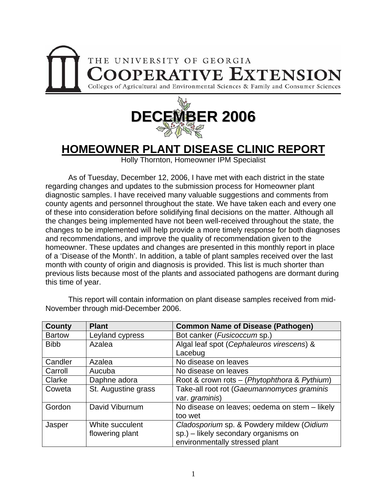



## **HOMEOWNER PLANT DISEASE CLINIC REPORT**

Holly Thornton, Homeowner IPM Specialist

As of Tuesday, December 12, 2006, I have met with each district in the state regarding changes and updates to the submission process for Homeowner plant diagnostic samples. I have received many valuable suggestions and comments from county agents and personnel throughout the state. We have taken each and every one of these into consideration before solidifying final decisions on the matter. Although all the changes being implemented have not been well-received throughout the state, the changes to be implemented will help provide a more timely response for both diagnoses and recommendations, and improve the quality of recommendation given to the homeowner. These updates and changes are presented in this monthly report in place of a 'Disease of the Month'. In addition, a table of plant samples received over the last month with county of origin and diagnosis is provided. This list is much shorter than previous lists because most of the plants and associated pathogens are dormant during this time of year.

| <b>County</b> | <b>Plant</b>        | <b>Common Name of Disease (Pathogen)</b>      |
|---------------|---------------------|-----------------------------------------------|
| <b>Bartow</b> | Leyland cypress     | Bot canker ( <i>Fusicoccum</i> sp.)           |
| <b>Bibb</b>   | Azalea              | Algal leaf spot (Cephaleuros virescens) &     |
|               |                     | Lacebug                                       |
| Candler       | Azalea              | No disease on leaves                          |
| Carroll       | Aucuba              | No disease on leaves                          |
| Clarke        | Daphne adora        | Root & crown rots - (Phytophthora & Pythium)  |
| Coweta        | St. Augustine grass | Take-all root rot (Gaeumannomyces graminis    |
|               |                     | var. graminis)                                |
| Gordon        | David Viburnum      | No disease on leaves; oedema on stem - likely |
|               |                     | too wet                                       |
| Jasper        | White succulent     | Cladosporium sp. & Powdery mildew (Oidium     |
|               | flowering plant     | sp.) - likely secondary organisms on          |
|               |                     | environmentally stressed plant                |

This report will contain information on plant disease samples received from mid-November through mid-December 2006.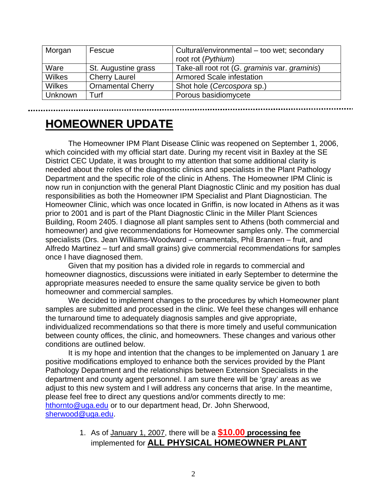| Morgan        | Fescue                   | Cultural/environmental - too wet; secondary<br>root rot (Pythium) |
|---------------|--------------------------|-------------------------------------------------------------------|
| Ware          | St. Augustine grass      | Take-all root rot (G. graminis var. graminis)                     |
| <b>Wilkes</b> | <b>Cherry Laurel</b>     | <b>Armored Scale infestation</b>                                  |
| <b>Wilkes</b> | <b>Ornamental Cherry</b> | Shot hole (Cercospora sp.)                                        |
| Unknown       | Turf                     | Porous basidiomycete                                              |

**HOMEOWNER OMEOWNER UPDATE**

The Homeowner IPM Plant Disease Clinic was reopened on September 1, 2006, which coincided with my official start date. During my recent visit in Baxley at the SE District CEC Update, it was brought to my attention that some additional clarity is needed about the roles of the diagnostic clinics and specialists in the Plant Pathology Department and the specific role of the clinic in Athens. The Homeowner IPM Clinic is now run in conjunction with the general Plant Diagnostic Clinic and my position has dual responsibilities as both the Homeowner IPM Specialist and Plant Diagnostician. The Homeowner Clinic, which was once located in Griffin, is now located in Athens as it was prior to 2001 and is part of the Plant Diagnostic Clinic in the Miller Plant Sciences Building, Room 2405. I diagnose all plant samples sent to Athens (both commercial and homeowner) and give recommendations for Homeowner samples only. The commercial specialists (Drs. Jean Williams-Woodward – ornamentals, Phil Brannen – fruit, and Alfredo Martinez – turf and small grains) give commercial recommendations for samples once I have diagnosed them.

Given that my position has a divided role in regards to commercial and homeowner diagnostics, discussions were initiated in early September to determine the appropriate measures needed to ensure the same quality service be given to both homeowner and commercial samples.

We decided to implement changes to the procedures by which Homeowner plant samples are submitted and processed in the clinic. We feel these changes will enhance the turnaround time to adequately diagnosis samples and give appropriate, individualized recommendations so that there is more timely and useful communication between county offices, the clinic, and homeowners. These changes and various other conditions are outlined below.

It is my hope and intention that the changes to be implemented on January 1 are positive modifications employed to enhance both the services provided by the Plant Pathology Department and the relationships between Extension Specialists in the department and county agent personnel. I am sure there will be 'gray' areas as we adjust to this new system and I will address any concerns that arise. In the meantime, please feel free to direct any questions and/or comments directly to me: [hthornto@uga.edu](mailto:hthornto@uga.edu) or to our department head, Dr. John Sherwood, [sherwood@uga.edu](mailto:sherwood@uga.edu).

> 1. As of January 1, 2007, there will be a **\$10.00 processing fee** implemented for **ALL PHYSICAL HOMEOWNER PLANT**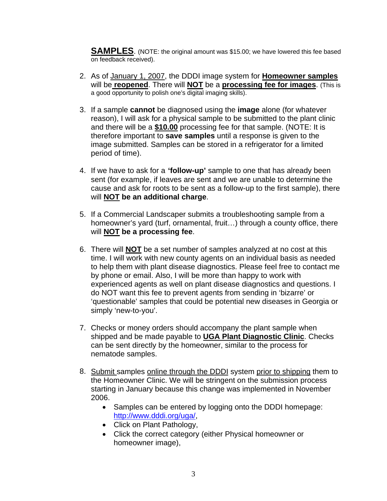**SAMPLES**. (NOTE: the original amount was \$15.00; we have lowered this fee based on feedback received).

- 2. As of January 1, 2007, the DDDI image system for **Homeowner samples** will be **reopened**. There will **NOT** be a **processing fee for images**. (This is a good opportunity to polish one's digital imaging skills).
- 3. If a sample **cannot** be diagnosed using the **image** alone (for whatever reason), I will ask for a physical sample to be submitted to the plant clinic and there will be a **\$10.00** processing fee for that sample. (NOTE: It is therefore important to **save samples** until a response is given to the image submitted. Samples can be stored in a refrigerator for a limited period of time).
- 4. If we have to ask for a **'follow-up'** sample to one that has already been sent (for example, if leaves are sent and we are unable to determine the cause and ask for roots to be sent as a follow-up to the first sample), there will **NOT be an additional charge**.
- 5. If a Commercial Landscaper submits a troubleshooting sample from a homeowner's yard (turf, ornamental, fruit…) through a county office, there will **NOT be a processing fee**.
- 6. There will **NOT** be a set number of samples analyzed at no cost at this time. I will work with new county agents on an individual basis as needed to help them with plant disease diagnostics. Please feel free to contact me by phone or email. Also, I will be more than happy to work with experienced agents as well on plant disease diagnostics and questions. I do NOT want this fee to prevent agents from sending in 'bizarre' or 'questionable' samples that could be potential new diseases in Georgia or simply 'new-to-you'.
- 7. Checks or money orders should accompany the plant sample when shipped and be made payable to **UGA Plant Diagnostic Clinic**. Checks can be sent directly by the homeowner, similar to the process for nematode samples.
- 8. Submit samples online through the DDDI system prior to shipping them to the Homeowner Clinic. We will be stringent on the submission process starting in January because this change was implemented in November 2006.
	- Samples can be entered by logging onto the DDDI homepage: <http://www.dddi.org/uga/>,
	- Click on Plant Pathology,
	- Click the correct category (either Physical homeowner or homeowner image),